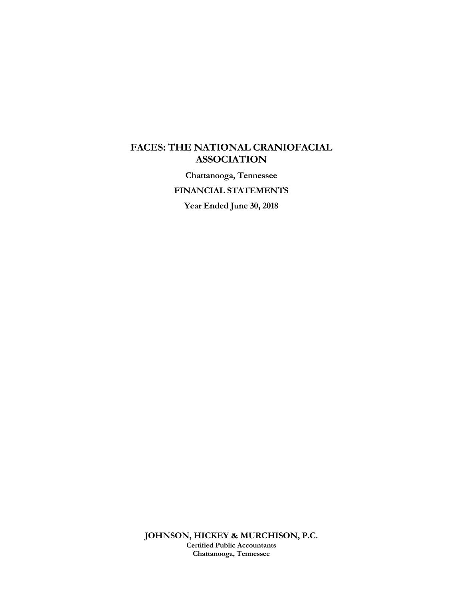### **FACES: THE NATIONAL CRANIOFACIAL ASSOCIATION**

**Chattanooga, Tennessee** 

**FINANCIAL STATEMENTS** 

**Year Ended June 30, 2018**

**JOHNSON, HICKEY & MURCHISON, P.C. Certified Public Accountants Chattanooga, Tennessee**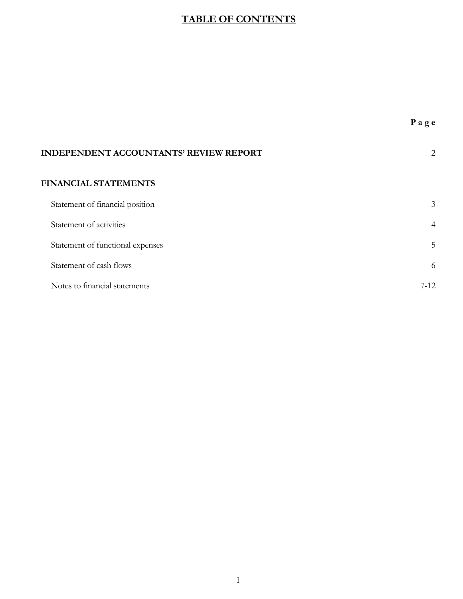## **TABLE OF CONTENTS**

| <b>INDEPENDENT ACCOUNTANTS' REVIEW REPORT</b> | 2              |
|-----------------------------------------------|----------------|
| <b>FINANCIAL STATEMENTS</b>                   |                |
| Statement of financial position               | $\mathfrak{Z}$ |
| Statement of activities                       | $\overline{4}$ |
| Statement of functional expenses              | 5              |
| Statement of cash flows                       | 6              |
| Notes to financial statements                 | $7-12.$        |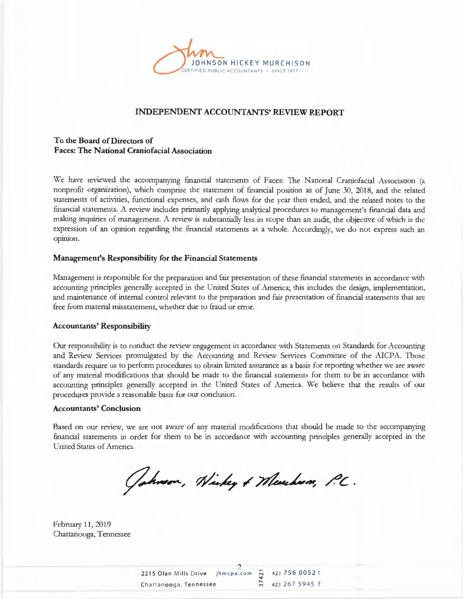

#### **INDEPENDENT ACCOUNTANTS' REVIEW REPORT**

#### **To the Board of Directors of Faces: The National Craniofacial Association**

We have reviewed the accompanying financial statements of Faces: The National Craniofacial Association (a nonprofit organization), which comprise the statement of financial position as of June 30, 2018, and the related statements of activities, functional expenses, and cash flows for the year then ended, and the related notes to the financial statements. A review includes primarily applying analytical procedures to management's financial data and making inquiries of management. A review is substantially less in scope than an audit, the objective of which is the expression of an opinion regarding the financial statements as a whole. Accordingly, we do not express such an opinion.

#### **Management's Responsibility for the Financial Statements**

Management is responsible for the preparation and fair presentation of these financial statements in accordance with accounting principles generally accepted in the United States of America; this includes the design, implementation, and maintenance of internal control relevant to the preparation and fair presentation of financial statements that are free from material misstatement, whether due to fraud or error.

#### **Accountants' Responsibility**

Our responsibility is to conduct the review engagement in accordance with Statements on Standards for Accounting and Review Services promulgated by the Accounting and Review Services Committee of the AICPA. Those standards require us to perform procedures to obtain limited assurance as a basis for reporting whether we are aware of any material modifications that should be made to the financial statements for them to be in accordance with accounting principles generally accepted in the United States of America. We believe that the results of our procedures provide a reasonable basis for our conclusion.

#### **Accountants' Conclusion**

Based on our review, we are not aware of any material modifications that should be made to the accompanying financial statements in order for them to be in accordance with accounting principles generally accepted in the United States of America.

Johnson, Nickey & Merchan, P.C.

February 11, 2019 Chattanooga, Tennessee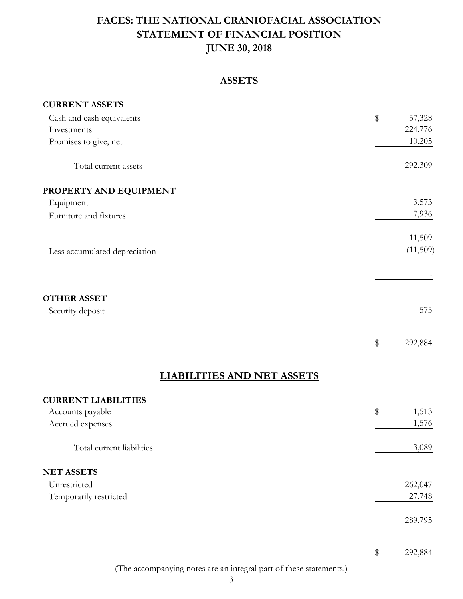# **STATEMENT OF FINANCIAL POSITION JUNE 30, 2018 FACES: THE NATIONAL CRANIOFACIAL ASSOCIATION**

### **ASSETS**

| <b>CURRENT ASSETS</b>             |               |
|-----------------------------------|---------------|
| Cash and cash equivalents         | \$<br>57,328  |
| Investments                       | 224,776       |
| Promises to give, net             | 10,205        |
| Total current assets              | 292,309       |
| PROPERTY AND EQUIPMENT            |               |
| Equipment                         | 3,573         |
| Furniture and fixtures            | 7,936         |
|                                   | 11,509        |
| Less accumulated depreciation     | (11,509)      |
|                                   |               |
| <b>OTHER ASSET</b>                |               |
| Security deposit                  | 575           |
|                                   | 292,884<br>\$ |
| <b>LIABILITIES AND NET ASSETS</b> |               |
| <b>CURRENT LIABILITIES</b>        |               |
| Accounts payable                  | \$<br>1,513   |
| Accrued expenses                  | 1,576         |
| Total current liabilities         | 3,089         |

#### **NET ASSETS**

| Unrestricted           | 262,047 |
|------------------------|---------|
| Temporarily restricted | 27,748  |
|                        |         |
|                        | 289,795 |

(The accompanying notes are an integral part of these statements.)

\$ 292,884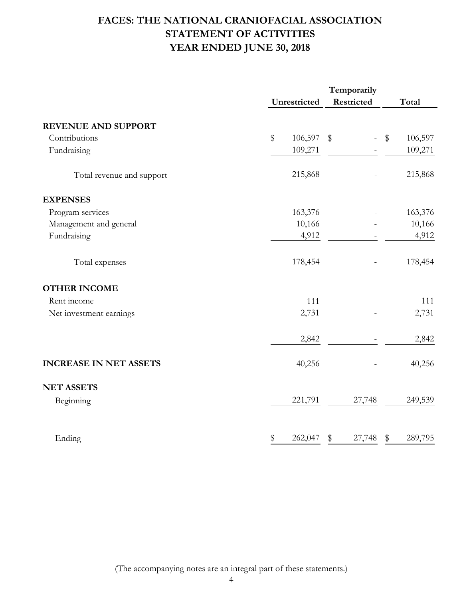# **FACES: THE NATIONAL CRANIOFACIAL ASSOCIATION STATEMENT OF ACTIVITIES YEAR ENDED JUNE 30, 2018**

|                               | Temporarily   |              |               |  |  |
|-------------------------------|---------------|--------------|---------------|--|--|
|                               | Unrestricted  | Restricted   | Total         |  |  |
| <b>REVENUE AND SUPPORT</b>    |               |              |               |  |  |
| Contributions                 | \$<br>106,597 | \$           | 106,597<br>\$ |  |  |
| Fundraising                   | 109,271       |              | 109,271       |  |  |
| Total revenue and support     | 215,868       |              | 215,868       |  |  |
| <b>EXPENSES</b>               |               |              |               |  |  |
| Program services              | 163,376       |              | 163,376       |  |  |
| Management and general        | 10,166        |              | 10,166        |  |  |
| Fundraising                   | 4,912         |              | 4,912         |  |  |
| Total expenses                | 178,454       |              | 178,454       |  |  |
| <b>OTHER INCOME</b>           |               |              |               |  |  |
| Rent income                   |               | 111          | 111           |  |  |
| Net investment earnings       | 2,731         |              | 2,731         |  |  |
|                               | 2,842         |              | 2,842         |  |  |
| <b>INCREASE IN NET ASSETS</b> | 40,256        |              | 40,256        |  |  |
| <b>NET ASSETS</b>             |               |              |               |  |  |
| Beginning                     | 221,791       | 27,748       | 249,539       |  |  |
| Ending                        | \$<br>262,047 | \$<br>27,748 | 289,795<br>\$ |  |  |

(The accompanying notes are an integral part of these statements.)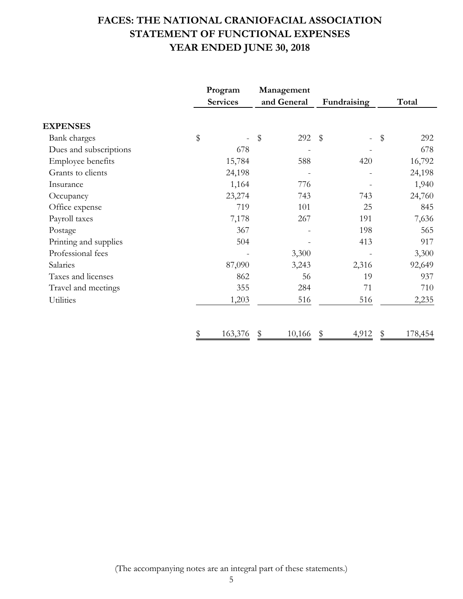# **FACES: THE NATIONAL CRANIOFACIAL ASSOCIATION STATEMENT OF FUNCTIONAL EXPENSES YEAR ENDED JUNE 30, 2018**

|                        | Program         | Management  |             |           |  |
|------------------------|-----------------|-------------|-------------|-----------|--|
|                        | <b>Services</b> | and General | Fundraising | Total     |  |
| <b>EXPENSES</b>        |                 |             |             |           |  |
| Bank charges           | \$              | \$<br>292   | $\sqrt{3}$  | 292<br>\$ |  |
| Dues and subscriptions | 678             |             |             | 678       |  |
| Employee benefits      | 15,784          | 588         | 420         | 16,792    |  |
| Grants to clients      | 24,198          |             |             | 24,198    |  |
| Insurance              | 1,164           | 776         |             | 1,940     |  |
| Occupancy              | 23,274          | 743         | 743         | 24,760    |  |
| Office expense         | 719             | 101         | 25          | 845       |  |
| Payroll taxes          | 7,178           | 267         | 191         | 7,636     |  |
| Postage                | 367             |             | 198         | 565       |  |
| Printing and supplies  | 504             |             | 413         | 917       |  |
| Professional fees      |                 | 3,300       |             | 3,300     |  |
| Salaries               | 87,090          | 3,243       | 2,316       | 92,649    |  |
| Taxes and licenses     | 862             | 56          | 19          | 937       |  |
| Travel and meetings    | 355             | 284         | 71          | 710       |  |
| Utilities              | 1,203           | 516         | 516         | 2,235     |  |
|                        | \$<br>163,376   | 10,166      | 4,912       | 178,454   |  |

(The accompanying notes are an integral part of these statements.)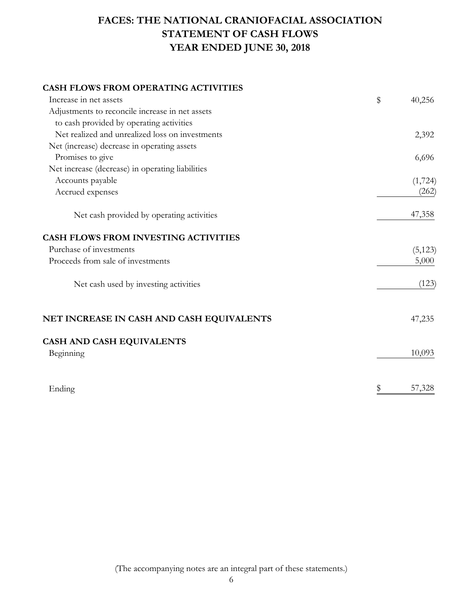# **FACES: THE NATIONAL CRANIOFACIAL ASSOCIATION STATEMENT OF CASH FLOWS YEAR ENDED JUNE 30, 2018**

#### **CASH FLOWS FROM OPERATING ACTIVITIES**

| Increase in net assets                           | \$<br>40,256 |
|--------------------------------------------------|--------------|
| Adjustments to reconcile increase in net assets  |              |
| to cash provided by operating activities         |              |
| Net realized and unrealized loss on investments  | 2,392        |
| Net (increase) decrease in operating assets      |              |
| Promises to give                                 | 6,696        |
| Net increase (decrease) in operating liabilities |              |
| Accounts payable                                 | (1,724)      |
| Accrued expenses                                 | (262)        |
| Net cash provided by operating activities        | 47,358       |
| <b>CASH FLOWS FROM INVESTING ACTIVITIES</b>      |              |
| Purchase of investments                          | (5, 123)     |
| Proceeds from sale of investments                | 5,000        |
| Net cash used by investing activities            | (123)        |
| NET INCREASE IN CASH AND CASH EQUIVALENTS        | 47,235       |
| CASH AND CASH EQUIVALENTS                        |              |
| Beginning                                        | 10,093       |
| Ending                                           | \$<br>57,328 |

(The accompanying notes are an integral part of these statements.)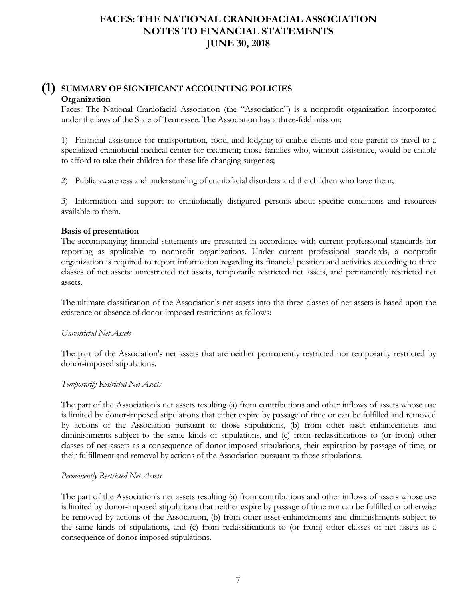#### **(1) SUMMARY OF SIGNIFICANT ACCOUNTING POLICIES Organization**

Faces: The National Craniofacial Association (the "Association") is a nonprofit organization incorporated under the laws of the State of Tennessee. The Association has a three-fold mission:

1) Financial assistance for transportation, food, and lodging to enable clients and one parent to travel to a specialized craniofacial medical center for treatment; those families who, without assistance, would be unable to afford to take their children for these life-changing surgeries;

2) Public awareness and understanding of craniofacial disorders and the children who have them;

3) Information and support to craniofacially disfigured persons about specific conditions and resources available to them.

#### **Basis of presentation**

The accompanying financial statements are presented in accordance with current professional standards for reporting as applicable to nonprofit organizations. Under current professional standards, a nonprofit organization is required to report information regarding its financial position and activities according to three classes of net assets: unrestricted net assets, temporarily restricted net assets, and permanently restricted net assets.

The ultimate classification of the Association's net assets into the three classes of net assets is based upon the existence or absence of donor-imposed restrictions as follows:

#### *Unrestricted Net Assets*

The part of the Association's net assets that are neither permanently restricted nor temporarily restricted by donor-imposed stipulations.

#### *Temporarily Restricted Net Assets*

The part of the Association's net assets resulting (a) from contributions and other inflows of assets whose use is limited by donor-imposed stipulations that either expire by passage of time or can be fulfilled and removed by actions of the Association pursuant to those stipulations, (b) from other asset enhancements and diminishments subject to the same kinds of stipulations, and (c) from reclassifications to (or from) other classes of net assets as a consequence of donor-imposed stipulations, their expiration by passage of time, or their fulfillment and removal by actions of the Association pursuant to those stipulations.

#### *Permanently Restricted Net Assets*

The part of the Association's net assets resulting (a) from contributions and other inflows of assets whose use is limited by donor-imposed stipulations that neither expire by passage of time nor can be fulfilled or otherwise be removed by actions of the Association, (b) from other asset enhancements and diminishments subject to the same kinds of stipulations, and (c) from reclassifications to (or from) other classes of net assets as a consequence of donor-imposed stipulations.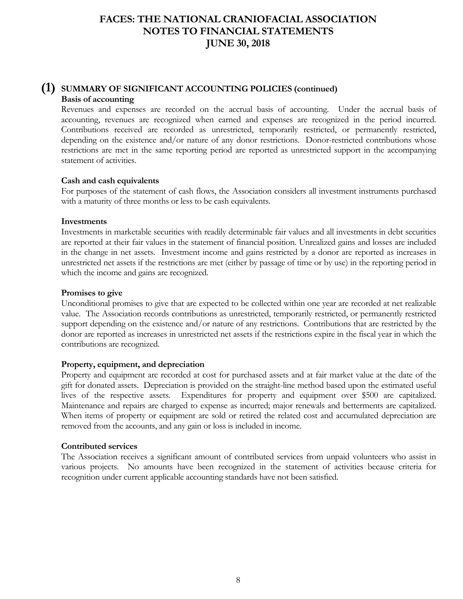#### **(1) SUMMARY OF SIGNIFICANT ACCOUNTING POLICIES (continued) Basis of accounting**

Revenues and expenses are recorded on the accrual basis of accounting. Under the accrual basis of accounting, revenues are recognized when earned and expenses are recognized in the period incurred. Contributions received are recorded as unrestricted, temporarily restricted, or permanently restricted, depending on the existence and/or nature of any donor restrictions. Donor-restricted contributions whose restrictions are met in the same reporting period are reported as unrestricted support in the accompanying statement of activities.

#### **Cash and cash equivalents**

For purposes of the statement of cash flows, the Association considers all investment instruments purchased with a maturity of three months or less to be cash equivalents.

#### **Investments**

Investments in marketable securities with readily determinable fair values and all investments in debt securities are reported at their fair values in the statement of financial position. Unrealized gains and losses are included in the change in net assets. Investment income and gains restricted by a donor are reported as increases in unrestricted net assets if the restrictions are met (either by passage of time or by use) in the reporting period in which the income and gains are recognized.

#### **Promises to give**

Unconditional promises to give that are expected to be collected within one year are recorded at net realizable value. The Association records contributions as unrestricted, temporarily restricted, or permanently restricted support depending on the existence and/or nature of any restrictions. Contributions that are restricted by the donor are reported as increases in unrestricted net assets if the restrictions expire in the fiscal year in which the contributions are recognized.

#### **Property, equipment, and depreciation**

Property and equipment are recorded at cost for purchased assets and at fair market value at the date of the gift for donated assets. Depreciation is provided on the straight-line method based upon the estimated useful lives of the respective assets. Expenditures for property and equipment over \$500 are capitalized. Maintenance and repairs are charged to expense as incurred; major renewals and betterments are capitalized. When items of property or equipment are sold or retired the related cost and accumulated depreciation are removed from the accounts, and any gain or loss is included in income.

#### **Contributed services**

The Association receives a significant amount of contributed services from unpaid volunteers who assist in various projects. No amounts have been recognized in the statement of activities because criteria for recognition under current applicable accounting standards have not been satisfied.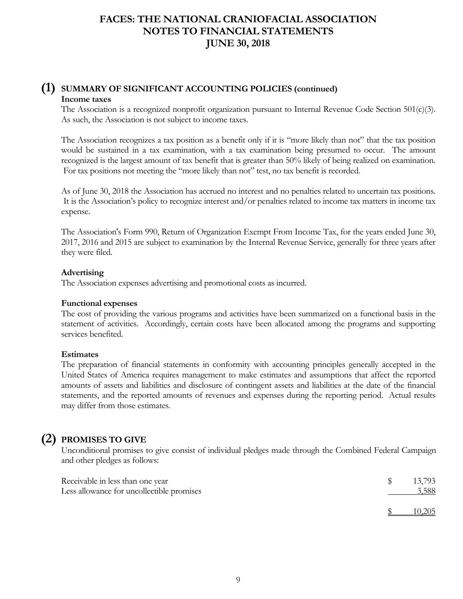### **(1) SUMMARY OF SIGNIFICANT ACCOUNTING POLICIES (continued) Income taxes**

The Association is a recognized nonprofit organization pursuant to Internal Revenue Code Section 501(c)(3). As such, the Association is not subject to income taxes.

The Association recognizes a tax position as a benefit only if it is "more likely than not" that the tax position would be sustained in a tax examination, with a tax examination being presumed to occur. The amount recognized is the largest amount of tax benefit that is greater than 50% likely of being realized on examination. For tax positions not meeting the "more likely than not" test, no tax benefit is recorded.

As of June 30, 2018 the Association has accrued no interest and no penalties related to uncertain tax positions. It is the Association's policy to recognize interest and/or penalties related to income tax matters in income tax expense.

The Association's Form 990, Return of Organization Exempt From Income Tax, for the years ended June 30, 2017, 2016 and 2015 are subject to examination by the Internal Revenue Service, generally for three years after they were filed.

#### **Advertising**

The Association expenses advertising and promotional costs as incurred.

#### **Functional expenses**

The cost of providing the various programs and activities have been summarized on a functional basis in the statement of activities. Accordingly, certain costs have been allocated among the programs and supporting services benefited.

#### **Estimates**

The preparation of financial statements in conformity with accounting principles generally accepted in the United States of America requires management to make estimates and assumptions that affect the reported amounts of assets and liabilities and disclosure of contingent assets and liabilities at the date of the financial statements, and the reported amounts of revenues and expenses during the reporting period. Actual results may differ from those estimates.

## **(2) PROMISES TO GIVE**

Unconditional promises to give consist of individual pledges made through the Combined Federal Campaign and other pledges as follows:

| Receivable in less than one year<br>Less allowance for uncollectible promises | 13,793<br>3,588 |
|-------------------------------------------------------------------------------|-----------------|
|                                                                               | 10,205          |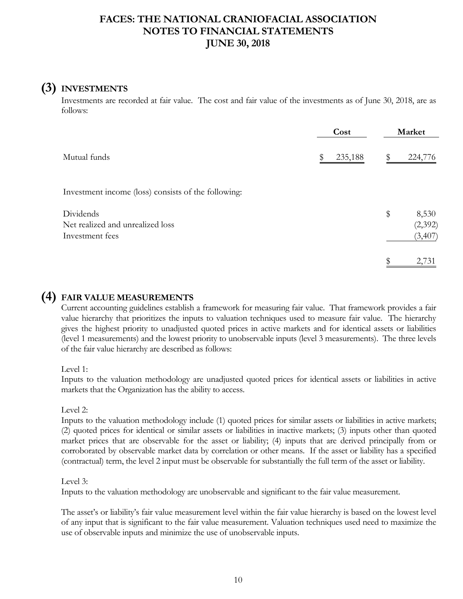## **(3) INVESTMENTS**

Investments are recorded at fair value. The cost and fair value of the investments as of June 30, 2018, are as follows:

|                                                                  | Cost    | Market |                               |
|------------------------------------------------------------------|---------|--------|-------------------------------|
| Mutual funds                                                     | 235,188 | \$     | 224,776                       |
| Investment income (loss) consists of the following:              |         |        |                               |
| Dividends<br>Net realized and unrealized loss<br>Investment fees |         | \$     | 8,530<br>(2, 392)<br>(3, 407) |
|                                                                  |         | \$     | 2,731                         |

### **(4) FAIR VALUE MEASUREMENTS**

Current accounting guidelines establish a framework for measuring fair value. That framework provides a fair value hierarchy that prioritizes the inputs to valuation techniques used to measure fair value. The hierarchy gives the highest priority to unadjusted quoted prices in active markets and for identical assets or liabilities (level 1 measurements) and the lowest priority to unobservable inputs (level 3 measurements). The three levels of the fair value hierarchy are described as follows:

Level 1:

Inputs to the valuation methodology are unadjusted quoted prices for identical assets or liabilities in active markets that the Organization has the ability to access.

Level 2:

Inputs to the valuation methodology include (1) quoted prices for similar assets or liabilities in active markets; (2) quoted prices for identical or similar assets or liabilities in inactive markets; (3) inputs other than quoted market prices that are observable for the asset or liability; (4) inputs that are derived principally from or corroborated by observable market data by correlation or other means. If the asset or liability has a specified (contractual) term, the level 2 input must be observable for substantially the full term of the asset or liability.

### Level 3:

Inputs to the valuation methodology are unobservable and significant to the fair value measurement.

The asset's or liability's fair value measurement level within the fair value hierarchy is based on the lowest level of any input that is significant to the fair value measurement. Valuation techniques used need to maximize the use of observable inputs and minimize the use of unobservable inputs.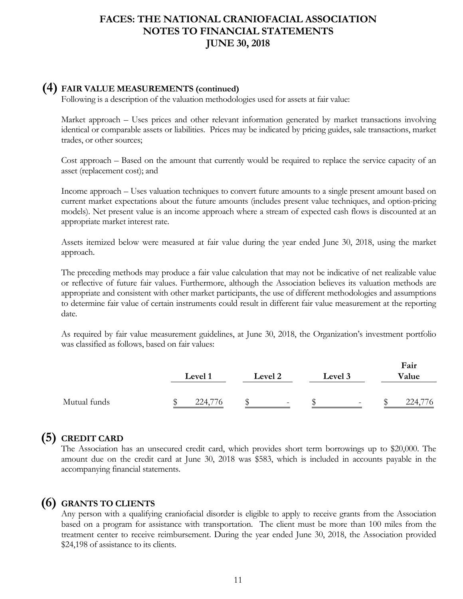### **(4) FAIR VALUE MEASUREMENTS (continued)**

Following is a description of the valuation methodologies used for assets at fair value:

Market approach – Uses prices and other relevant information generated by market transactions involving identical or comparable assets or liabilities. Prices may be indicated by pricing guides, sale transactions, market trades, or other sources;

Cost approach – Based on the amount that currently would be required to replace the service capacity of an asset (replacement cost); and

Income approach – Uses valuation techniques to convert future amounts to a single present amount based on current market expectations about the future amounts (includes present value techniques, and option-pricing models). Net present value is an income approach where a stream of expected cash flows is discounted at an appropriate market interest rate.

Assets itemized below were measured at fair value during the year ended June 30, 2018, using the market approach.

The preceding methods may produce a fair value calculation that may not be indicative of net realizable value or reflective of future fair values. Furthermore, although the Association believes its valuation methods are appropriate and consistent with other market participants, the use of different methodologies and assumptions to determine fair value of certain instruments could result in different fair value measurement at the reporting date.

As required by fair value measurement guidelines, at June 30, 2018, the Organization's investment portfolio was classified as follows, based on fair values:

**Fair**

|              | Level 1 | Level 2 |   | Level 3 |                          | r air<br>Value |  |
|--------------|---------|---------|---|---------|--------------------------|----------------|--|
| Mutual funds | 224,776 |         | - |         | $\overline{\phantom{a}}$ | 224,776        |  |

## **(5) CREDIT CARD**

The Association has an unsecured credit card, which provides short term borrowings up to \$20,000. The amount due on the credit card at June 30, 2018 was \$583, which is included in accounts payable in the accompanying financial statements.

### **(6) GRANTS TO CLIENTS**

Any person with a qualifying craniofacial disorder is eligible to apply to receive grants from the Association based on a program for assistance with transportation. The client must be more than 100 miles from the treatment center to receive reimbursement. During the year ended June 30, 2018, the Association provided \$24,198 of assistance to its clients.